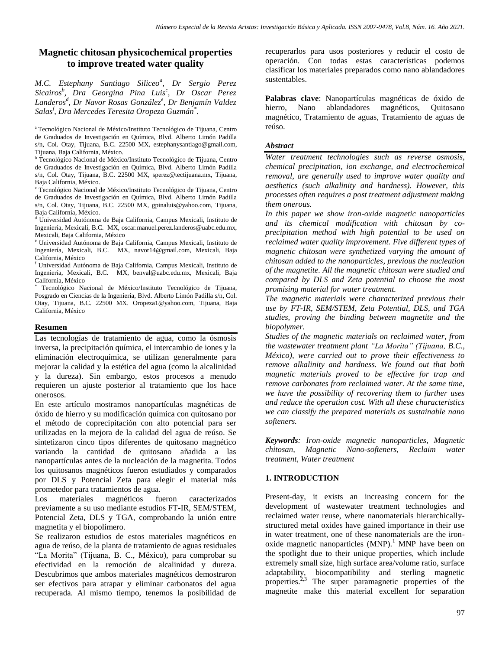# **Magnetic chitosan physicochemical properties to improve treated water quality**

*M.C. Estephany Santiago Siliceo<sup>a</sup> , Dr Sergio Perez Sicairos<sup>b</sup> , Dra Georgina Pina Luis<sup>c</sup> , Dr Oscar Perez Landeros<sup>d</sup> , Dr Navor Rosas González<sup>e</sup> , Dr Benjamín Valdez Salas<sup>f</sup> , Dra Mercedes Teresita Oropeza Guzmán\* .*

<sup>a</sup>Tecnológico Nacional de México/Instituto Tecnológico de Tijuana, Centro de Graduados de Investigación en Química, Blvd. Alberto Limón Padilla s/n, Col. Otay, Tijuana, B.C. 22500 MX, estephanysantiago@gmail.com, Tijuana, Baja California, México.

<sup>b</sup> Tecnológico Nacional de México/Instituto Tecnológico de Tijuana, Centro de Graduados de Investigación en Química, Blvd. Alberto Limón Padilla s/n, Col. Otay, Tijuana, B.C. 22500 MX, sperez@tectijuana.mx, Tijuana, Baja California, México.

<sup>c</sup> Tecnológico Nacional de México/Instituto Tecnológico de Tijuana, Centro de Graduados de Investigación en Química, Blvd. Alberto Limón Padilla s/n, Col. Otay, Tijuana, B.C. 22500 MX, gpinaluis@yahoo.com, Tijuana, Baja California, México.

<sup>d</sup> Universidad Autónoma de Baja California, Campus Mexicali, Instituto de Ingeniería, Mexicali, B.C. MX, oscar.manuel.perez.landeros@uabc.edu.mx, Mexicali, Baja California, México

<sup>e</sup> Universidad Autónoma de Baja California, Campus Mexicali, Instituto de Ingeniería, Mexicali, B.C. MX, navor14@gmail.com, Mexicali, Baja California, México

<sup>f</sup> Universidad Autónoma de Baja California, Campus Mexicali, Instituto de Ingeniería, Mexicali, B.C. MX, benval@uabc.edu.mx, Mexicali, Baja California, México

\* Tecnológico Nacional de México/Instituto Tecnológico de Tijuana, Posgrado en Ciencias de la Ingeniería, Blvd. Alberto Limón Padilla s/n, Col. Otay, Tijuana, B.C. 22500 MX. Oropeza1@yahoo.com, Tijuana, Baja California, México

#### **Resumen**

Las tecnologías de tratamiento de agua, como la ósmosis inversa, la precipitación química, el intercambio de iones y la eliminación electroquímica, se utilizan generalmente para mejorar la calidad y la estética del agua (como la alcalinidad y la dureza). Sin embargo, estos procesos a menudo requieren un ajuste posterior al tratamiento que los hace onerosos.

En este artículo mostramos nanopartículas magnéticas de óxido de hierro y su modificación química con quitosano por el método de coprecipitación con alto potencial para ser utilizadas en la mejora de la calidad del agua de reúso. Se sintetizaron cinco tipos diferentes de quitosano magnético variando la cantidad de quitosano añadida a las nanopartículas antes de la nucleación de la magnetita. Todos los quitosanos magnéticos fueron estudiados y comparados por DLS y Potencial Zeta para elegir el material más prometedor para tratamientos de agua.

Los materiales magnéticos fueron caracterizados previamente a su uso mediante estudios FT-IR, SEM/STEM, Potencial Zeta, DLS y TGA, comprobando la unión entre magnetita y el biopolímero.

Se realizaron estudios de estos materiales magnéticos en agua de reúso, de la planta de tratamiento de aguas residuales "La Morita" (Tijuana, B. C., México), para comprobar su efectividad en la remoción de alcalinidad y dureza. Descubrimos que ambos materiales magnéticos demostraron ser efectivos para atrapar y eliminar carbonatos del agua recuperada. Al mismo tiempo, tenemos la posibilidad de recuperarlos para usos posteriores y reducir el costo de operación. Con todas estas características podemos clasificar los materiales preparados como nano ablandadores sustentables.

**Palabras clave**: Nanopartículas magnéticas de óxido de hierro, Nano ablandadores magnéticos, Quitosano magnético, Tratamiento de aguas, Tratamiento de aguas de reúso.

#### *Abstract*

*Water treatment technologies such as reverse osmosis, chemical precipitation, ion exchange, and electrochemical removal, are generally used to improve water quality and aesthetics (such alkalinity and hardness). However, this processes often requires a post treatment adjustment making them onerous.*

*In this paper we show iron-oxide magnetic nanoparticles and its chemical modification with chitosan by coprecipitation method with high potential to be used on reclaimed water quality improvement. Five different types of magnetic chitosan were synthetized varying the amount of chitosan added to the nanoparticles, previous the nucleation of the magnetite. All the magnetic chitosan were studied and compared by DLS and Zeta potential to choose the most promising material for water treatment.*

*The magnetic materials were characterized previous their use by FT-IR, SEM/STEM, Zeta Potential, DLS, and TGA studies, proving the binding between magnetite and the biopolymer.* 

*Studies of the magnetic materials on reclaimed water, from the wastewater treatment plant "La Morita" (Tijuana, B.C., México), were carried out to prove their effectiveness to remove alkalinity and hardness. We found out that both magnetic materials proved to be effective for trap and remove carbonates from reclaimed water. At the same time, we have the possibility of recovering them to further uses and reduce the operation cost. With all these characteristics we can classify the prepared materials as sustainable nano softeners.*

*Keywords: Iron-oxide magnetic nanoparticles, Magnetic chitosan, Magnetic Nano-softeners, Reclaim water treatment, Water treatment*

#### **1. INTRODUCTION**

Present-day, it exists an increasing concern for the development of wastewater treatment technologies and reclaimed water reuse, where nanomaterials hierarchicallystructured metal oxides have gained importance in their use in water treatment, one of these nanomaterials are the ironoxide magnetic nanoparticles  $(MNP)$ <sup>1</sup> MNP have been on the spotlight due to their unique properties, which include extremely small size, high surface area/volume ratio, surface adaptability, biocompatibility and sterling magnetic properties.<sup>2,3</sup> The super paramagnetic properties of the magnetite make this material excellent for separation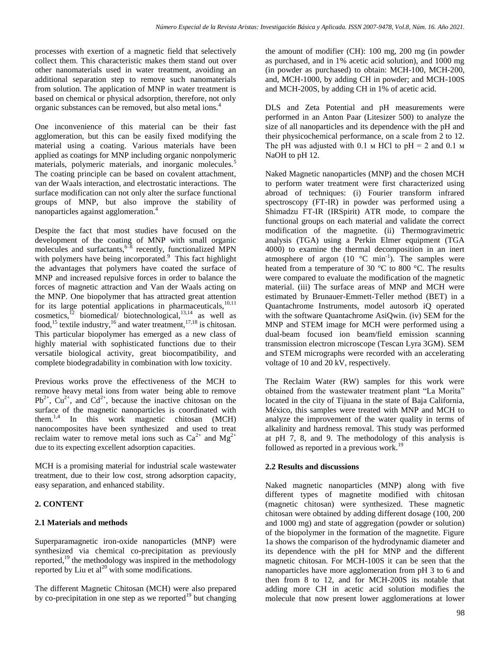processes with exertion of a magnetic field that selectively collect them. This characteristic makes them stand out over other nanomaterials used in water treatment, avoiding an additional separation step to remove such nanomaterials from solution. The application of MNP in water treatment is based on chemical or physical adsorption, therefore, not only organic substances can be removed, but also metal ions.<sup>4</sup>

One inconvenience of this material can be their fast agglomeration, but this can be easily fixed modifying the material using a coating. Various materials have been applied as coatings for MNP including organic nonpolymeric materials, polymeric materials, and inorganic molecules.<sup>5</sup> The coating principle can be based on covalent attachment, van der Waals interaction, and electrostatic interactions. The surface modification can not only alter the surface functional groups of MNP, but also improve the stability of nanoparticles against agglomeration.<sup>4</sup>

Despite the fact that most studies have focused on the development of the coating of MNP with small organic molecules and surfactants, <sup>6-8</sup> recently, functionalized MPN with polymers have being incorporated.<sup>9</sup> This fact highlight the advantages that polymers have coated the surface of MNP and increased repulsive forces in order to balance the forces of magnetic attraction and Van der Waals acting on the MNP. One biopolymer that has attracted great attention for its large potential applications in pharmaceuticals, $10,11$ cosmetics,<sup>12</sup> biomedical/ biotechnological, $13,14$  as well as food,<sup>15</sup> textile industry,<sup>16</sup> and water treatment,<sup>17,18</sup> is chitosan. This particular biopolymer has emerged as a new class of highly material with sophisticated functions due to their versatile biological activity, great biocompatibility, and complete biodegradability in combination with low toxicity.

Previous works prove the effectiveness of the MCH to remove heavy metal ions from water being able to remove  $Pb^{2+}$ , Cu<sup>2+</sup>, and Cd<sup>2+</sup>, because the inactive chitosan on the surface of the magnetic nanoparticles is coordinated with them.1,4 In this work magnetic chitosan (MCH) nanocomposites have been synthesized and used to treat reclaim water to remove metal ions such as  $Ca^{2+}$  and  $Mg^{2+}$ due to its expecting excellent adsorption capacities.

MCH is a promising material for industrial scale wastewater treatment, due to their low cost, strong adsorption capacity, easy separation, and enhanced stability.

### **2. CONTENT**

### **2.1 Materials and methods**

Superparamagnetic iron-oxide nanoparticles (MNP) were synthesized via chemical co-precipitation as previously reported, $^{19}$  the methodology was inspired in the methodology reported by Liu et  $al^{20}$  with some modifications.

The different Magnetic Chitosan (MCH) were also prepared by co-precipitation in one step as we reported<sup>19</sup> but changing the amount of modifier (CH): 100 mg, 200 mg (in powder as purchased, and in 1% acetic acid solution), and 1000 mg (in powder as purchased) to obtain: MCH-100, MCH-200, and, MCH-1000, by adding CH in powder; and MCH-100S and MCH-200S, by adding CH in 1% of acetic acid.

DLS and Zeta Potential and pH measurements were performed in an Anton Paar (Litesizer 500) to analyze the size of all nanoparticles and its dependence with the pH and their physicochemical performance, on a scale from 2 to 12. The pH was adjusted with 0.1  $\mu$  HCl to pH = 2 and 0.1  $\mu$ NaOH to pH 12.

Naked Magnetic nanoparticles (MNP) and the chosen MCH to perform water treatment were first characterized using abroad of techniques: (i) Fourier transform infrared spectroscopy (FT-IR) in powder was performed using a Shimadzu FT-IR (IRSpirit) ATR mode, to compare the functional groups on each material and validate the correct modification of the magnetite. (ii) Thermogravimetric analysis (TGA) using a Perkin Elmer equipment (TGA 4000) to examine the thermal decomposition in an inert atmosphere of argon  $(10 \degree C \text{ min}^{-1})$ . The samples were heated from a temperature of 30 °C to 800 °C. The results were compared to evaluate the modification of the magnetic material. (iii) The surface areas of MNP and MCH were estimated by Brunauer-Emmett-Teller method (BET) in a Quantachrome Instruments, model autosorb iQ operated with the software Quantachrome AsiQwin. (iv) SEM for the MNP and STEM image for MCH were performed using a dual-beam focused ion beam/field emission scanning transmission electron microscope (Tescan Lyra 3GM). SEM and STEM micrographs were recorded with an accelerating voltage of 10 and 20 kV, respectively.

The Reclaim Water (RW) samples for this work were obtained from the wastewater treatment plant "La Morita" located in the city of Tijuana in the state of Baja California, México, this samples were treated with MNP and MCH to analyze the improvement of the water quality in terms of alkalinity and hardness removal. This study was performed at pH 7, 8, and 9. The methodology of this analysis is followed as reported in a previous work.<sup>19</sup>

### **2.2 Results and discussions**

Naked magnetic nanoparticles (MNP) along with five different types of magnetite modified with chitosan (magnetic chitosan) were synthesized. These magnetic chitosan were obtained by adding different dosage (100, 200 and 1000 mg) and state of aggregation (powder or solution) of the biopolymer in the formation of the magnetite. Figure 1a shows the comparison of the hydrodynamic diameter and its dependence with the pH for MNP and the different magnetic chitosan. For MCH-100S it can be seen that the nanoparticles have more agglomeration from pH 3 to 6 and then from 8 to 12, and for MCH-200S its notable that adding more CH in acetic acid solution modifies the molecule that now present lower agglomerations at lower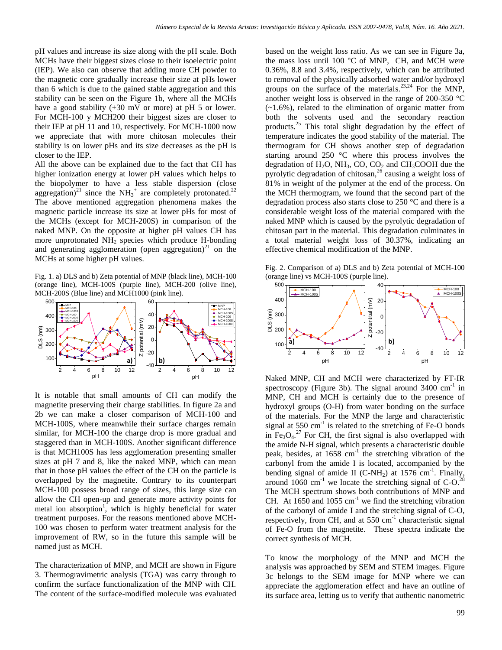pH values and increase its size along with the pH scale. Both MCHs have their biggest sizes close to their isoelectric point (IEP). We also can observe that adding more CH powder to the magnetic core gradually increase their size at pHs lower than 6 which is due to the gained stable aggregation and this stability can be seen on the Figure 1b, where all the MCHs have a good stability (+30 mV or more) at pH 5 or lower. For MCH-100 y MCH200 their biggest sizes are closer to their IEP at pH 11 and 10, respectively. For MCH-1000 now we appreciate that with more chitosan molecules their stability is on lower pHs and its size decreases as the pH is closer to the IEP.

All the above can be explained due to the fact that CH has higher ionization energy at lower pH values which helps to the biopolymer to have a less stable dispersion (close aggregation)<sup>21</sup> since the NH<sub>3</sub><sup>+</sup> are completely protonated.<sup>22</sup> The above mentioned aggregation phenomena makes the magnetic particle increase its size at lower pHs for most of the MCHs (except for MCH-200S) in comparison of the naked MNP. On the opposite at higher pH values CH has more unprotonated  $NH<sub>2</sub>$  species which produce H-bonding and generating agglomeration (open aggregation)<sup>21</sup> on the MCHs at some higher pH values.

Fig. 1. a) DLS and b) Zeta potential of MNP (black line), MCH-100 (orange line), MCH-100S (purple line), MCH-200 (olive line), MCH-200S (Blue line) and MCH1000 (pink line).



It is notable that small amounts of CH can modify the magnetite preserving their charge stabilities. In figure 2a and 2b we can make a closer comparison of MCH-100 and MCH-100S, where meanwhile their surface charges remain similar, for MCH-100 the charge drop is more gradual and staggered than in MCH-100S. Another significant difference is that MCH100S has less agglomeration presenting smaller sizes at pH 7 and 8, like the naked MNP, which can mean that in those pH values the effect of the CH on the particle is overlapped by the magnetite. Contrary to its counterpart MCH-100 possess broad range of sizes, this large size can allow the CH open-up and generate more activity points for metal ion absorption<sup>1</sup>, which is highly beneficial for water treatment purposes. For the reasons mentioned above MCH-100 was chosen to perform water treatment analysis for the improvement of RW, so in the future this sample will be named just as MCH.

The characterization of MNP, and MCH are shown in Figure 3. Thermogravimetric analysis (TGA) was carry through to confirm the surface functionalization of the MNP with CH. The content of the surface-modified molecule was evaluated based on the weight loss ratio. As we can see in Figure 3a, the mass loss until 100  $\degree$ C of MNP, CH, and MCH were 0.36%, 8.8 and 3.4%, respectively, which can be attributed to removal of the physically adsorbed water and/or hydroxyl groups on the surface of the materials.<sup>23,24</sup> For the MNP, another weight loss is observed in the range of 200-350 °C  $(-1.6\%)$ , related to the elimination of organic matter from both the solvents used and the secondary reaction products.<sup>25</sup> This total slight degradation by the effect of temperature indicates the good stability of the material. The thermogram for CH shows another step of degradation starting around 250 °C where this process involves the degradation of  $H_2O$ , NH<sub>3</sub>, CO, CO<sub>2</sub> and CH<sub>3</sub>COOH due the pyrolytic degradation of chitosan,  $^{26}$  causing a weight loss of 81% in weight of the polymer at the end of the process. On the MCH thermogram, we found that the second part of the degradation process also starts close to 250 °C and there is a considerable weight loss of the material compared with the naked MNP which is caused by the pyrolytic degradation of chitosan part in the material. This degradation culminates in a total material weight loss of 30.37%, indicating an effective chemical modification of the MNP.

Fig. 2. Comparison of a) DLS and b) Zeta potential of MCH-100 (orange line) vs MCH-100S (purple line).



pH Naked MNP, CH and MCH were characterized by FT-IR spectroscopy (Figure 3b). The signal around  $3400 \text{ cm}^{-1}$  in MNP, CH and MCH is certainly due to the presence of hydroxyl groups (O-H) from water bonding on the surface of the materials. For the MNP the large and characteristic signal at  $550 \text{ cm}^{-1}$  is related to the stretching of Fe-O bonds in  $Fe<sub>3</sub>O<sub>4</sub>.<sup>27</sup>$  For CH, the first signal is also overlapped with the amide N-H signal, which presents a characteristic double peak, besides, at 1658 cm<sup>-1</sup> the stretching vibration of the carbonyl from the amide I is located, accompanied by the bending signal of amide II (C-NH<sub>2</sub>) at 1576 cm<sup>-1</sup>. Finally, around 1060 cm<sup>-1</sup> we locate the stretching signal of  $C$ -O.<sup>28</sup> The MCH spectrum shows both contributions of MNP and CH. At 1650 and 1055  $\text{cm}^{-1}$  we find the stretching vibration of the carbonyl of amide I and the stretching signal of C-O, respectively, from CH, and at 550 cm<sup>-1</sup> characteristic signal of Fe-O from the magnetite. These spectra indicate the correct synthesis of MCH.

To know the morphology of the MNP and MCH the analysis was approached by SEM and STEM images. Figure 3c belongs to the SEM image for MNP where we can appreciate the agglomeration effect and have an outline of its surface area, letting us to verify that authentic nanometric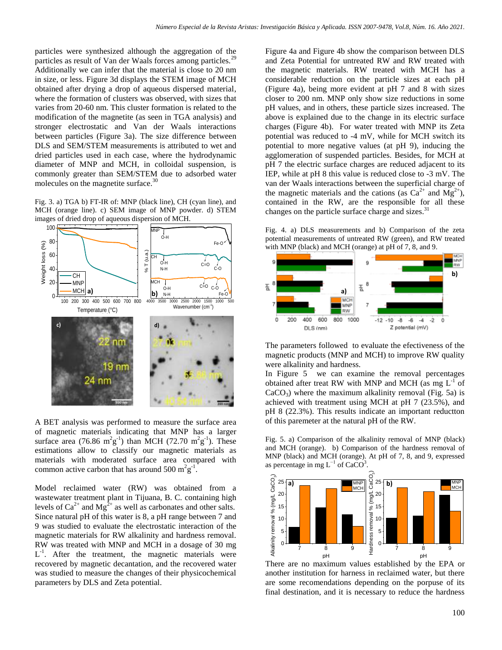particles were synthesized although the aggregation of the particles as result of Van der Waals forces among particles.<sup>29</sup> Additionally we can infer that the material is close to 20 nm in size, or less. Figure 3d displays the STEM image of MCH obtained after drying a drop of aqueous dispersed material, where the formation of clusters was observed, with sizes that varies from 20-60 nm. This cluster formation is related to the modification of the magnetite (as seen in TGA analysis) and stronger electrostatic and Van der Waals interactions between particles (Figure 3a). The size difference between DLS and SEM/STEM measurements is attributed to wet and dried particles used in each case, where the hydrodynamic diameter of MNP and MCH, in colloidal suspension, is commonly greater than SEM/STEM due to adsorbed water molecules on the magnetite surface.<sup>30</sup>

Fig. 3. a) TGA b) FT-IR of: MNP (black line), CH (cyan line), and MCH (orange line). c) SEM image of MNP powder. d) STEM images of dried drop of aqueous dispersion of MCH.



A BET analysis was performed to measure the surface area of magnetic materials indicating that MNP has a larger surface area (76.86  $m^2g^{-1}$ ) than MCH (72.70  $m^2g^{-1}$ ). These estimations allow to classify our magnetic materials as materials with moderated surface area compared with common active carbon that has around  $500 \text{ m}^2 \text{g}^{-1}$ .

Model reclaimed water (RW) was obtained from a wastewater treatment plant in Tijuana, B. C. containing high levels of  $Ca^{2+}$  and  $Mg^{2+}$  as well as carbonates and other salts. Since natural pH of this water is 8, a pH range between 7 and 9 was studied to evaluate the electrostatic interaction of the magnetic materials for RW alkalinity and hardness removal. RW was treated with MNP and MCH in a dosage of 30 mg  $L^{-1}$ . After the treatment, the magnetic materials were recovered by magnetic decantation, and the recovered water was studied to measure the changes of their physicochemical parameters by DLS and Zeta potential.

Figure 4a and Figure 4b show the comparison between DLS and Zeta Potential for untreated RW and RW treated with the magnetic materials. RW treated with MCH has a considerable reduction on the particle sizes at each pH (Figure 4a), being more evident at pH 7 and 8 with sizes closer to 200 nm. MNP only show size reductions in some pH values, and in others, these particle sizes increased. The above is explained due to the change in its electric surface charges (Figure 4b). For water treated with MNP its Zeta potential was reduced to -4 mV, while for MCH switch its potential to more negative values (at pH 9), inducing the agglomeration of suspended particles. Besides, for MCH at pH 7 the electric surface charges are reduced adjacent to its IEP, while at pH 8 this value is reduced close to -3 mV. The van der Waals interactions between the superficial charge of the magnetic materials and the cations (as  $Ca^{2+}$  and  $Mg^{2+}$ ), contained in the RW, are the responsible for all these changes on the particle surface charge and sizes.<sup>31</sup>

Fig. 4. a) DLS measurements and b) Comparison of the zeta potential measurements of untreated RW (green), and RW treated Fe-O<sup> $\sim$ </sup> V with MNP (black) and MCH (orange) at pH of 7, 8, and 9.



The parameters followed to evaluate the efectiveness of the magnetic products (MNP and MCH) to improve RW quality were alkalinity and hardness.

In Figure 5 we can examine the removal percentages obtained after treat RW with MNP and MCH (as mg  $L^{-1}$  of  $CaCO<sub>3</sub>$ ) where the maximum alkalinity removal (Fig. 5a) is achieved with treatment using MCH at pH 7 (23.5%), and pH 8 (22.3%). This results indicate an important reductton of this paremeter at the natural pH of the RW.

Fig. 5. a) Comparison of the alkalinity removal of MNP (black) and MCH (orange). b) Comparison of the hardness removal of MNP (black) and MCH (orange). At pH of 7, 8, and 9, expressed as percentage in mg  $L^{-1}$  of CaCO<sup>3</sup>.



There are no maximum values established by the EPA or another institution for harness in reclaimed water, but there are some recomendations depending on the porpuse of its final destination, and it is necessary to reduce the hardness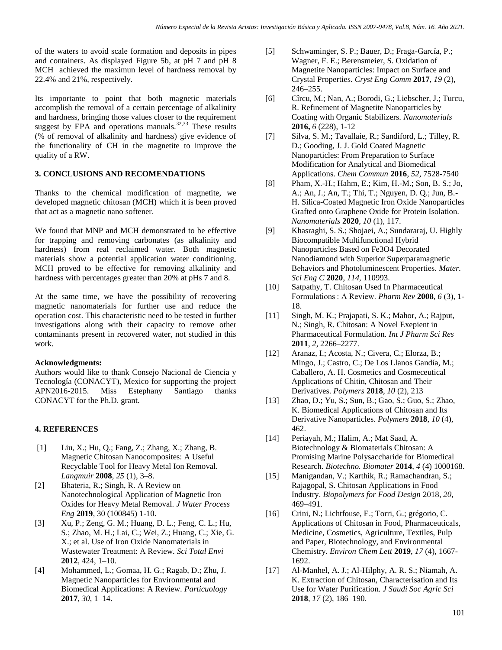of the waters to avoid scale formation and deposits in pipes and containers. As displayed Figure 5b, at pH 7 and pH 8 MCH achieved the maximun level of hardness removal by 22.4% and 21%, respectively.

Its importante to point that both magnetic materials accomplish the removal of a certain percentage of alkalinity and hardness, bringing those values closer to the requirement suggest by EPA and operations manuals.<sup>32,33</sup> These results (% of removal of alkalinity and hardness) give evidence of the functionality of CH in the magnetite to improve the quality of a RW.

## **3. CONCLUSIONS AND RECOMENDATIONS**

Thanks to the chemical modification of magnetite, we developed magnetic chitosan (MCH) which it is been proved that act as a magnetic nano softener.

We found that MNP and MCH demonstrated to be effective for trapping and removing carbonates (as alkalinity and hardness) from real reclaimed water. Both magnetic materials show a potential application water conditioning. MCH proved to be effective for removing alkalinity and hardness with percentages greater than 20% at pHs 7 and 8.

At the same time, we have the possibility of recovering magnetic nanomaterials for further use and reduce the operation cost. This characteristic need to be tested in further investigations along with their capacity to remove other contaminants present in recovered water, not studied in this work.

### **Acknowledgments:**

Authors would like to thank Consejo Nacional de Ciencia y Tecnología (CONACYT), Mexico for supporting the project APN2016-2015. Miss Estephany Santiago thanks CONACYT for the Ph.D. grant.

### **4. REFERENCES**

- [1] Liu, X.; Hu, Q.; Fang, Z.; Zhang, X.; Zhang, B. Magnetic Chitosan Nanocomposites: A Useful Recyclable Tool for Heavy Metal Ion Removal. *Langmuir* **2008**, *25* (1), 3–8.
- [2] Bhateria, R.; Singh, R. A Review on Nanotechnological Application of Magnetic Iron Oxides for Heavy Metal Removal. *J Water Process Eng* **2019**, 30 (100845) 1-10.
- [3] Xu, P.; Zeng, G. M.; Huang, D. L.; Feng, C. L.; Hu, S.; Zhao, M. H.; Lai, C.; Wei, Z.; Huang, C.; Xie, G. X.; et al. Use of Iron Oxide Nanomaterials in Wastewater Treatment: A Review. *Sci Total Envi* **2012**, 424, 1–10.
- [4] Mohammed, L.; Gomaa, H. G.; Ragab, D.; Zhu, J. Magnetic Nanoparticles for Environmental and Biomedical Applications: A Review. *Particuology* **2017**, *30*, 1–14.
- [5] Schwaminger, S. P.; Bauer, D.; Fraga-García, P.; Wagner, F. E.; Berensmeier, S. Oxidation of Magnetite Nanoparticles: Impact on Surface and Crystal Properties. *Cryst Eng Comm* **2017**, *19* (2), 246–255.
- [6] Cîrcu, M.; Nan, A.; Borodi, G.; Liebscher, J.; Turcu, R. Refinement of Magnetite Nanoparticles by Coating with Organic Stabilizers. *Nanomaterials* **2016,** *6* (228), 1-12
- [7] Silva, S. M.; Tavallaie, R.; Sandiford, L.; Tilley, R. D.; Gooding, J. J. Gold Coated Magnetic Nanoparticles: From Preparation to Surface Modification for Analytical and Biomedical Applications. *Chem Commun* **2016**, *52*, 7528-7540
- [8] Pham, X.-H.; Hahm, E.; Kim, H.-M.; Son, B. S.; Jo, A.; An, J.; An, T.; Thi, T.; Nguyen, D. Q.; Jun, B.- H. Silica-Coated Magnetic Iron Oxide Nanoparticles Grafted onto Graphene Oxide for Protein Isolation. *Nanomaterials* **2020**, *10* (1), 117.
- [9] Khasraghi, S. S.; Shojaei, A.; Sundararaj, U. Highly Biocompatible Multifunctional Hybrid Nanoparticles Based on Fe3O4 Decorated Nanodiamond with Superior Superparamagnetic Behaviors and Photoluminescent Properties. *Mater. Sci Eng C* **2020**, *114*, 110993.
- [10] Satpathy, T. Chitosan Used In Pharmaceutical Formulations : A Review. *Pharm Rev* **2008**, *6* (3), 1- 18.
- [11] Singh, M. K.; Prajapati, S. K.; Mahor, A.; Rajput, N.; Singh, R. Chitosan: A Novel Exepient in Pharmaceutical Formulation. *Int J Pharm Sci Res* **2011**, *2*, 2266–2277.
- [12] Aranaz, I.; Acosta, N.; Civera, C.; Elorza, B.; Mingo, J.; Castro, C.; De Los Llanos Gandía, M.; Caballero, A. H. Cosmetics and Cosmeceutical Applications of Chitin, Chitosan and Their Derivatives. *Polymers* **2018**, *10* (2), 213
- [13] Zhao, D.; Yu, S.; Sun, B.; Gao, S.; Guo, S.; Zhao, K. Biomedical Applications of Chitosan and Its Derivative Nanoparticles. *Polymers* **2018**, *10* (4), 462.
- [14] Periayah, M.; Halim, A.; Mat Saad, A. Biotechnology & Biomaterials Chitosan: A Promising Marine Polysaccharide for Biomedical Research. *Biotechno. Biomater* **2014**, *4* (4) 1000168.
- [15] Manigandan, V.; Karthik, R.; Ramachandran, S.; Rajagopal, S. Chitosan Applications in Food Industry. *Biopolymers for Food Design* 2018, *20*, 469–491.
- [16] Crini, N.; Lichtfouse, E.; Torri, G.; grégorio, C. Applications of Chitosan in Food, Pharmaceuticals, Medicine, Cosmetics, Agriculture, Textiles, Pulp and Paper, Biotechnology, and Environmental Chemistry. *Environ Chem Lett* **2019**, *17* (4), 1667- 1692.
- [17] Al-Manhel, A. J.; Al-Hilphy, A. R. S.; Niamah, A. K. Extraction of Chitosan, Characterisation and Its Use for Water Purification. *J Saudi Soc Agric Sci* **2018**, *17* (2), 186–190.